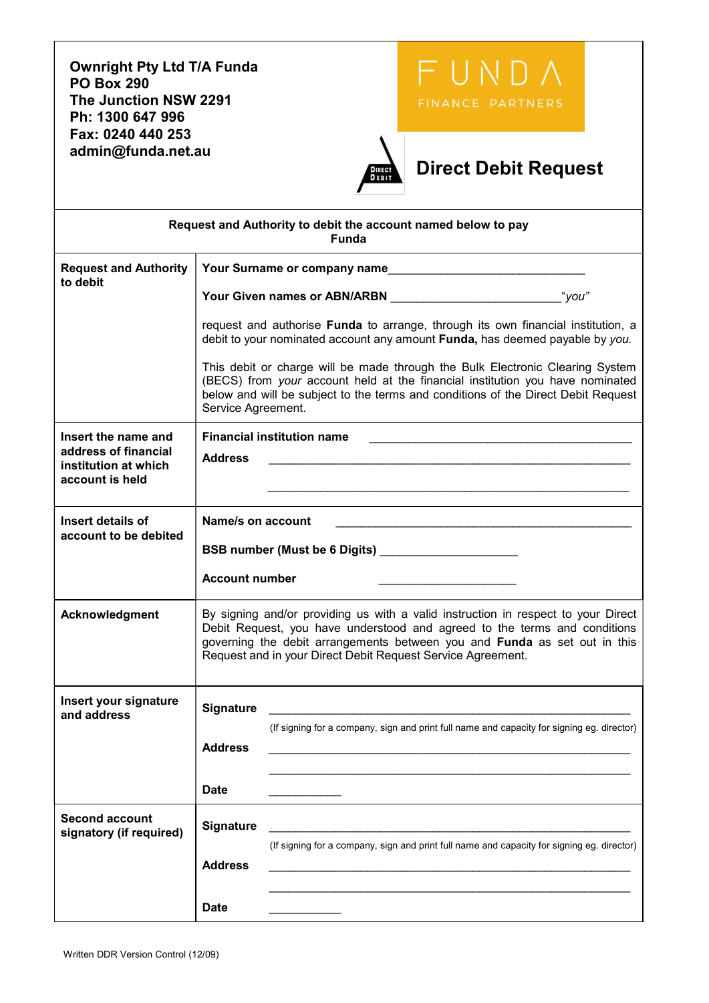Ownright Pty Ltd T/A Funda PO Box 290 The Junction NSW 2291 FINANCE PARTNERS Ph: 1300 647 996 Fax: 0240 440 253 admin@funda.net.au Direct Debit Request Request and Authority to debit the account named below to pay Funda Request and Authority Your Surname or company name to debit Your Given names or ABN/ARBN \_\_\_\_\_\_\_\_\_\_\_\_\_\_\_\_\_\_\_\_\_\_\_\_\_\_"you" request and authorise Funda to arrange, through its own financial institution, a debit to your nominated account any amount Funda, has deemed payable by you. This debit or charge will be made through the Bulk Electronic Clearing System (BECS) from your account held at the financial institution you have nominated below and will be subject to the terms and conditions of the Direct Debit Request Service Agreement. Insert the name and Financial institution name address of financial Address \_\_\_\_\_\_\_\_\_\_\_\_\_\_\_\_\_\_\_\_\_\_\_\_\_\_\_\_\_\_\_\_\_\_\_\_\_\_\_\_\_\_\_\_\_\_\_\_\_\_\_\_\_\_\_ institution at which account is held Insert details of Name/s on account account to be debited BSB number (Must be 6 Digits) \_\_\_\_\_\_\_\_\_\_\_\_\_\_\_\_\_\_\_\_\_ Account number Acknowledgment By signing and/or providing us with a valid instruction in respect to your Direct Debit Request, you have understood and agreed to the terms and conditions governing the debit arrangements between you and Funda as set out in this Request and in your Direct Debit Request Service Agreement. Insert your signature and address Signature \_\_\_\_\_\_\_\_\_\_\_\_\_\_\_\_\_\_\_\_\_\_\_\_\_\_\_\_\_\_\_\_\_\_\_\_\_\_\_\_\_\_\_\_\_\_\_\_\_\_\_\_\_\_\_ (If signing for a company, sign and print full name and capacity for signing eg. director) Address \_\_\_\_\_\_\_\_\_\_\_\_\_\_\_\_\_\_\_\_\_\_\_\_\_\_\_\_\_\_\_\_\_\_\_\_\_\_\_\_\_\_\_\_\_\_\_\_\_\_\_\_\_\_\_  $\overline{\phantom{a}}$  ,  $\overline{\phantom{a}}$  ,  $\overline{\phantom{a}}$  ,  $\overline{\phantom{a}}$  ,  $\overline{\phantom{a}}$  ,  $\overline{\phantom{a}}$  ,  $\overline{\phantom{a}}$  ,  $\overline{\phantom{a}}$  ,  $\overline{\phantom{a}}$  ,  $\overline{\phantom{a}}$  ,  $\overline{\phantom{a}}$  ,  $\overline{\phantom{a}}$  ,  $\overline{\phantom{a}}$  ,  $\overline{\phantom{a}}$  ,  $\overline{\phantom{a}}$  ,  $\overline{\phantom{a}}$ Date Second account second account<br>signatory (if required) Signature (If signing for a company, sign and print full name and capacity for signing eg. director) Address  $\overline{\phantom{a}}$  ,  $\overline{\phantom{a}}$  ,  $\overline{\phantom{a}}$  ,  $\overline{\phantom{a}}$  ,  $\overline{\phantom{a}}$  ,  $\overline{\phantom{a}}$  ,  $\overline{\phantom{a}}$  ,  $\overline{\phantom{a}}$  ,  $\overline{\phantom{a}}$  ,  $\overline{\phantom{a}}$  ,  $\overline{\phantom{a}}$  ,  $\overline{\phantom{a}}$  ,  $\overline{\phantom{a}}$  ,  $\overline{\phantom{a}}$  ,  $\overline{\phantom{a}}$  ,  $\overline{\phantom{a}}$ Date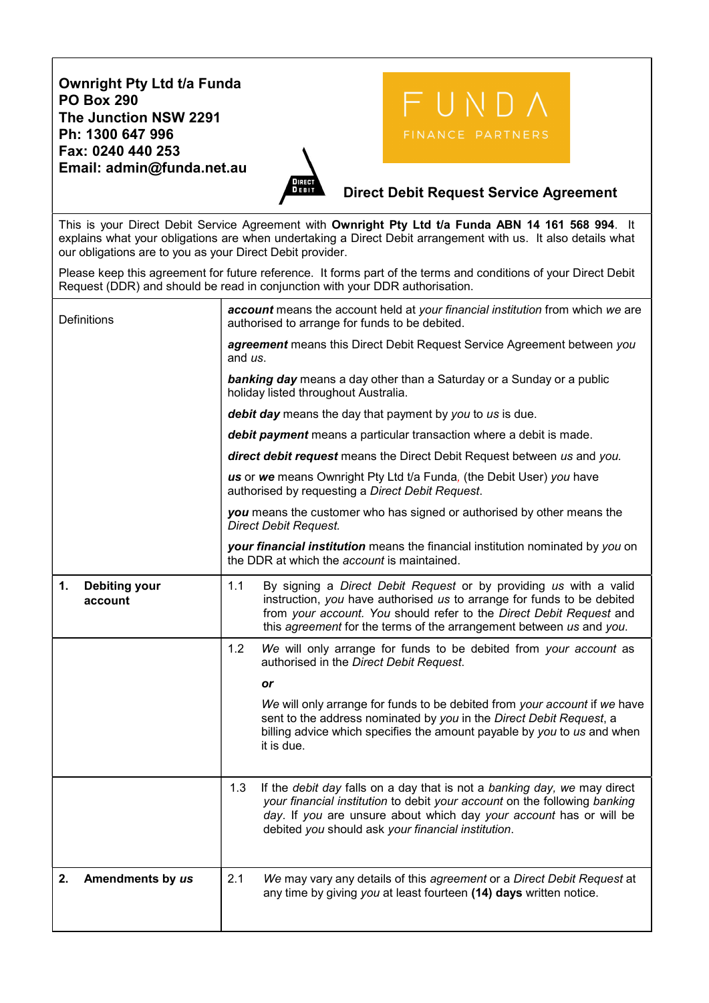## Ownright Pty Ltd t/a Funda PO Box 290 The Junction NSW 2291 Ph: 1300 647 996 Fax: 0240 440 253 Email: admin@funda.net.au



## FINANCE PARTNERS

## Direct Debit Request Service Agreement

This is your Direct Debit Service Agreement with Ownright Pty Ltd t/a Funda ABN 14 161 568 994. It explains what your obligations are when undertaking a Direct Debit arrangement with us. It also details what our obligations are to you as your Direct Debit provider.

Please keep this agreement for future reference. It forms part of the terms and conditions of your Direct Debit Request (DDR) and should be read in conjunction with your DDR authorisation.

| Definitions                           | account means the account held at your financial institution from which we are<br>authorised to arrange for funds to be debited.                                                                                                                                                                 |  |  |  |
|---------------------------------------|--------------------------------------------------------------------------------------------------------------------------------------------------------------------------------------------------------------------------------------------------------------------------------------------------|--|--|--|
|                                       | agreement means this Direct Debit Request Service Agreement between you<br>and us.                                                                                                                                                                                                               |  |  |  |
|                                       | <b>banking day</b> means a day other than a Saturday or a Sunday or a public<br>holiday listed throughout Australia.                                                                                                                                                                             |  |  |  |
|                                       | debit day means the day that payment by you to us is due.                                                                                                                                                                                                                                        |  |  |  |
|                                       | debit payment means a particular transaction where a debit is made.                                                                                                                                                                                                                              |  |  |  |
|                                       | direct debit request means the Direct Debit Request between us and you.                                                                                                                                                                                                                          |  |  |  |
|                                       | us or we means Ownright Pty Ltd t/a Funda, (the Debit User) you have<br>authorised by requesting a Direct Debit Request.                                                                                                                                                                         |  |  |  |
|                                       | you means the customer who has signed or authorised by other means the<br><b>Direct Debit Request.</b>                                                                                                                                                                                           |  |  |  |
|                                       | your financial institution means the financial institution nominated by you on<br>the DDR at which the <i>account</i> is maintained.                                                                                                                                                             |  |  |  |
| 1.<br><b>Debiting your</b><br>account | 1.1<br>By signing a Direct Debit Request or by providing us with a valid<br>instruction, you have authorised us to arrange for funds to be debited<br>from your account. You should refer to the Direct Debit Request and<br>this agreement for the terms of the arrangement between us and you. |  |  |  |
|                                       | 1.2<br>We will only arrange for funds to be debited from your account as<br>authorised in the Direct Debit Request.                                                                                                                                                                              |  |  |  |
|                                       | or                                                                                                                                                                                                                                                                                               |  |  |  |
|                                       | We will only arrange for funds to be debited from your account if we have<br>sent to the address nominated by you in the Direct Debit Request, a<br>billing advice which specifies the amount payable by you to us and when<br>it is due.                                                        |  |  |  |
|                                       | 1.3<br>If the debit day falls on a day that is not a banking day, we may direct<br>your financial institution to debit your account on the following banking<br>day. If you are unsure about which day your account has or will be<br>debited you should ask your financial institution.         |  |  |  |
| Amendments by us<br>2.                | 2.1<br>We may vary any details of this agreement or a Direct Debit Request at<br>any time by giving you at least fourteen (14) days written notice.                                                                                                                                              |  |  |  |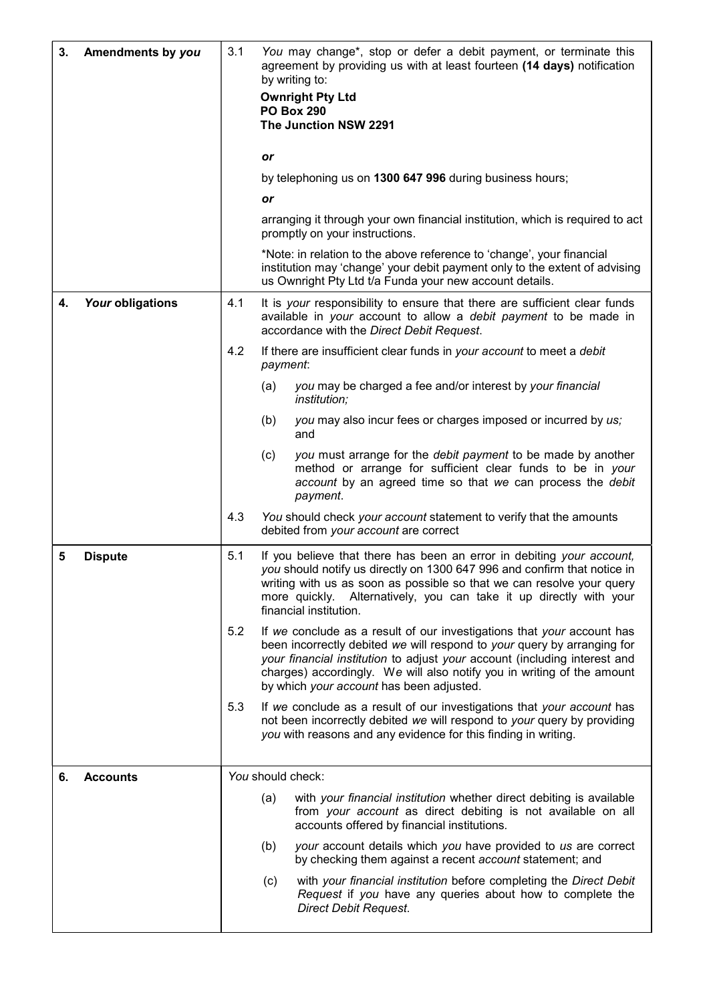| 3. | Amendments by you | 3.1 | You may change*, stop or defer a debit payment, or terminate this<br>agreement by providing us with at least fourteen (14 days) notification<br>by writing to:                                                                                                                                                                                       |
|----|-------------------|-----|------------------------------------------------------------------------------------------------------------------------------------------------------------------------------------------------------------------------------------------------------------------------------------------------------------------------------------------------------|
|    |                   |     | <b>Ownright Pty Ltd</b>                                                                                                                                                                                                                                                                                                                              |
|    |                   |     | <b>PO Box 290</b><br>The Junction NSW 2291                                                                                                                                                                                                                                                                                                           |
|    |                   |     |                                                                                                                                                                                                                                                                                                                                                      |
|    |                   |     | or                                                                                                                                                                                                                                                                                                                                                   |
|    |                   |     | by telephoning us on 1300 647 996 during business hours;                                                                                                                                                                                                                                                                                             |
|    |                   |     | or                                                                                                                                                                                                                                                                                                                                                   |
|    |                   |     | arranging it through your own financial institution, which is required to act<br>promptly on your instructions.                                                                                                                                                                                                                                      |
|    |                   |     | *Note: in relation to the above reference to 'change', your financial<br>institution may 'change' your debit payment only to the extent of advising<br>us Ownright Pty Ltd t/a Funda your new account details.                                                                                                                                       |
| 4. | Your obligations  | 4.1 | It is your responsibility to ensure that there are sufficient clear funds<br>available in your account to allow a debit payment to be made in<br>accordance with the Direct Debit Request.                                                                                                                                                           |
|    |                   | 4.2 | If there are insufficient clear funds in your account to meet a debit<br>payment:                                                                                                                                                                                                                                                                    |
|    |                   |     | (a)<br>you may be charged a fee and/or interest by your financial<br><i>institution;</i>                                                                                                                                                                                                                                                             |
|    |                   |     | you may also incur fees or charges imposed or incurred by us;<br>(b)<br>and                                                                                                                                                                                                                                                                          |
|    |                   |     | you must arrange for the debit payment to be made by another<br>(c)<br>method or arrange for sufficient clear funds to be in your<br>account by an agreed time so that we can process the debit<br>payment.                                                                                                                                          |
|    |                   | 4.3 | You should check your account statement to verify that the amounts<br>debited from your account are correct                                                                                                                                                                                                                                          |
| 5  | <b>Dispute</b>    | 5.1 | If you believe that there has been an error in debiting your account,<br>you should notify us directly on 1300 647 996 and confirm that notice in<br>writing with us as soon as possible so that we can resolve your query<br>Alternatively, you can take it up directly with your<br>more quickly.<br>financial institution.                        |
|    |                   | 5.2 | If we conclude as a result of our investigations that your account has<br>been incorrectly debited we will respond to your query by arranging for<br>your financial institution to adjust your account (including interest and<br>charges) accordingly. We will also notify you in writing of the amount<br>by which your account has been adjusted. |
|    |                   | 5.3 | If we conclude as a result of our investigations that your account has<br>not been incorrectly debited we will respond to your query by providing<br>you with reasons and any evidence for this finding in writing.                                                                                                                                  |
| 6. | <b>Accounts</b>   |     | You should check:                                                                                                                                                                                                                                                                                                                                    |
|    |                   |     | with your financial institution whether direct debiting is available<br>(a)<br>from your account as direct debiting is not available on all<br>accounts offered by financial institutions.                                                                                                                                                           |
|    |                   |     | (b)<br>your account details which you have provided to us are correct<br>by checking them against a recent account statement; and                                                                                                                                                                                                                    |
|    |                   |     | with your financial institution before completing the Direct Debit<br>(c)<br>Request if you have any queries about how to complete the<br><b>Direct Debit Request.</b>                                                                                                                                                                               |